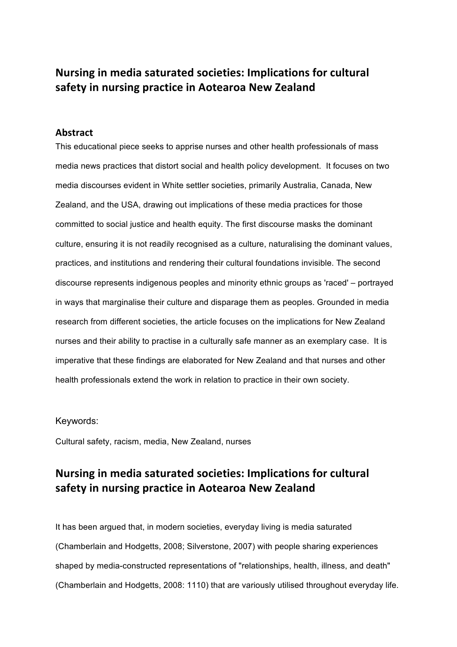# **Nursing in media saturated societies: Implications for cultural safety in nursing practice in Aotearoa New Zealand**

## **Abstract**

This educational piece seeks to apprise nurses and other health professionals of mass media news practices that distort social and health policy development. It focuses on two media discourses evident in White settler societies, primarily Australia, Canada, New Zealand, and the USA, drawing out implications of these media practices for those committed to social justice and health equity. The first discourse masks the dominant culture, ensuring it is not readily recognised as a culture, naturalising the dominant values, practices, and institutions and rendering their cultural foundations invisible. The second discourse represents indigenous peoples and minority ethnic groups as 'raced' – portrayed in ways that marginalise their culture and disparage them as peoples. Grounded in media research from different societies, the article focuses on the implications for New Zealand nurses and their ability to practise in a culturally safe manner as an exemplary case. It is imperative that these findings are elaborated for New Zealand and that nurses and other health professionals extend the work in relation to practice in their own society.

## Keywords:

Cultural safety, racism, media, New Zealand, nurses

# **Nursing in media saturated societies: Implications for cultural safety in nursing practice in Aotearoa New Zealand**

It has been argued that, in modern societies, everyday living is media saturated (Chamberlain and Hodgetts, 2008; Silverstone, 2007) with people sharing experiences shaped by media-constructed representations of "relationships, health, illness, and death" (Chamberlain and Hodgetts, 2008: 1110) that are variously utilised throughout everyday life.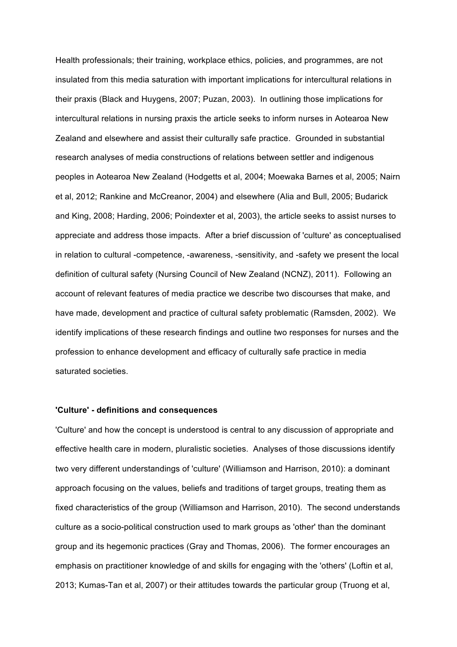Health professionals; their training, workplace ethics, policies, and programmes, are not insulated from this media saturation with important implications for intercultural relations in their praxis (Black and Huygens, 2007; Puzan, 2003). In outlining those implications for intercultural relations in nursing praxis the article seeks to inform nurses in Aotearoa New Zealand and elsewhere and assist their culturally safe practice. Grounded in substantial research analyses of media constructions of relations between settler and indigenous peoples in Aotearoa New Zealand (Hodgetts et al, 2004; Moewaka Barnes et al, 2005; Nairn et al, 2012; Rankine and McCreanor, 2004) and elsewhere (Alia and Bull, 2005; Budarick and King, 2008; Harding, 2006; Poindexter et al, 2003), the article seeks to assist nurses to appreciate and address those impacts. After a brief discussion of 'culture' as conceptualised in relation to cultural -competence, -awareness, -sensitivity, and -safety we present the local definition of cultural safety (Nursing Council of New Zealand (NCNZ), 2011). Following an account of relevant features of media practice we describe two discourses that make, and have made, development and practice of cultural safety problematic (Ramsden, 2002). We identify implications of these research findings and outline two responses for nurses and the profession to enhance development and efficacy of culturally safe practice in media saturated societies.

### **'Culture' - definitions and consequences**

'Culture' and how the concept is understood is central to any discussion of appropriate and effective health care in modern, pluralistic societies. Analyses of those discussions identify two very different understandings of 'culture' (Williamson and Harrison, 2010): a dominant approach focusing on the values, beliefs and traditions of target groups, treating them as fixed characteristics of the group (Williamson and Harrison, 2010). The second understands culture as a socio-political construction used to mark groups as 'other' than the dominant group and its hegemonic practices (Gray and Thomas, 2006). The former encourages an emphasis on practitioner knowledge of and skills for engaging with the 'others' (Loftin et al, 2013; Kumas-Tan et al, 2007) or their attitudes towards the particular group (Truong et al,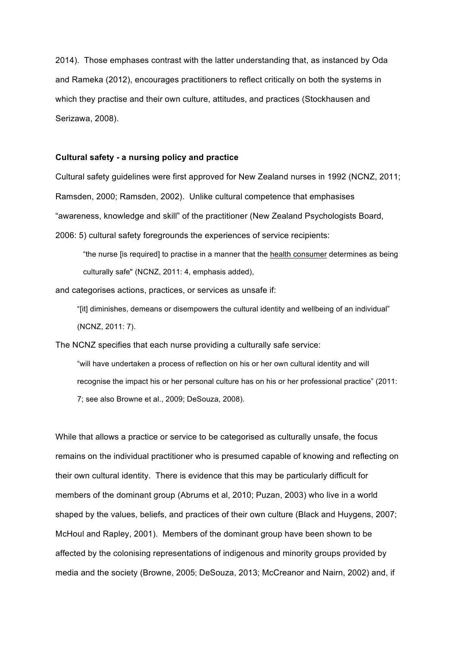2014). Those emphases contrast with the latter understanding that, as instanced by Oda and Rameka (2012), encourages practitioners to reflect critically on both the systems in which they practise and their own culture, attitudes, and practices (Stockhausen and Serizawa, 2008).

## **Cultural safety - a nursing policy and practice**

Cultural safety guidelines were first approved for New Zealand nurses in 1992 (NCNZ, 2011; Ramsden, 2000; Ramsden, 2002). Unlike cultural competence that emphasises "awareness, knowledge and skill" of the practitioner (New Zealand Psychologists Board, 2006: 5) cultural safety foregrounds the experiences of service recipients:

"the nurse [is required] to practise in a manner that the health consumer determines as being culturally safe" (NCNZ, 2011: 4, emphasis added),

and categorises actions, practices, or services as unsafe if:

"[it] diminishes, demeans or disempowers the cultural identity and wellbeing of an individual" (NCNZ, 2011: 7).

The NCNZ specifies that each nurse providing a culturally safe service:

"will have undertaken a process of reflection on his or her own cultural identity and will recognise the impact his or her personal culture has on his or her professional practice" (2011: 7; see also Browne et al., 2009; DeSouza, 2008).

While that allows a practice or service to be categorised as culturally unsafe, the focus remains on the individual practitioner who is presumed capable of knowing and reflecting on their own cultural identity. There is evidence that this may be particularly difficult for members of the dominant group (Abrums et al, 2010; Puzan, 2003) who live in a world shaped by the values, beliefs, and practices of their own culture (Black and Huygens, 2007; McHoul and Rapley, 2001). Members of the dominant group have been shown to be affected by the colonising representations of indigenous and minority groups provided by media and the society (Browne, 2005; DeSouza, 2013; McCreanor and Nairn, 2002) and, if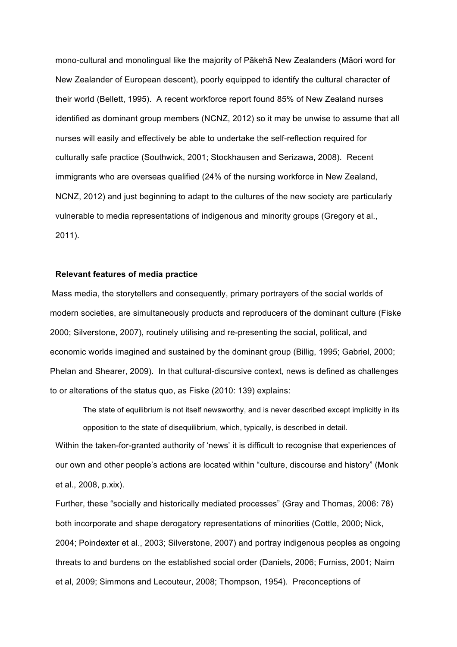mono-cultural and monolingual like the majority of Pākehā New Zealanders (Māori word for New Zealander of European descent), poorly equipped to identify the cultural character of their world (Bellett, 1995). A recent workforce report found 85% of New Zealand nurses identified as dominant group members (NCNZ, 2012) so it may be unwise to assume that all nurses will easily and effectively be able to undertake the self-reflection required for culturally safe practice (Southwick, 2001; Stockhausen and Serizawa, 2008). Recent immigrants who are overseas qualified (24% of the nursing workforce in New Zealand, NCNZ, 2012) and just beginning to adapt to the cultures of the new society are particularly vulnerable to media representations of indigenous and minority groups (Gregory et al., 2011).

#### **Relevant features of media practice**

Mass media, the storytellers and consequently, primary portrayers of the social worlds of modern societies, are simultaneously products and reproducers of the dominant culture (Fiske 2000; Silverstone, 2007), routinely utilising and re-presenting the social, political, and economic worlds imagined and sustained by the dominant group (Billig, 1995; Gabriel, 2000; Phelan and Shearer, 2009). In that cultural-discursive context, news is defined as challenges to or alterations of the status quo, as Fiske (2010: 139) explains:

The state of equilibrium is not itself newsworthy, and is never described except implicitly in its opposition to the state of disequilibrium, which, typically, is described in detail.

Within the taken-for-granted authority of 'news' it is difficult to recognise that experiences of our own and other people's actions are located within "culture, discourse and history" (Monk et al., 2008, p.xix).

Further, these "socially and historically mediated processes" (Gray and Thomas, 2006: 78) both incorporate and shape derogatory representations of minorities (Cottle, 2000; Nick, 2004; Poindexter et al., 2003; Silverstone, 2007) and portray indigenous peoples as ongoing threats to and burdens on the established social order (Daniels, 2006; Furniss, 2001; Nairn et al, 2009; Simmons and Lecouteur, 2008; Thompson, 1954). Preconceptions of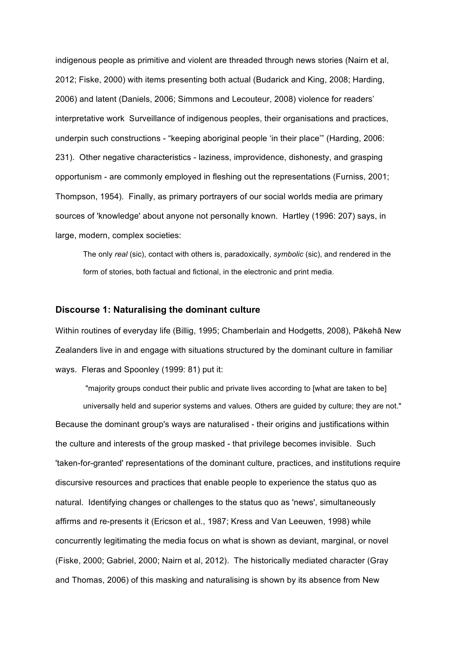indigenous people as primitive and violent are threaded through news stories (Nairn et al, 2012; Fiske, 2000) with items presenting both actual (Budarick and King, 2008; Harding, 2006) and latent (Daniels, 2006; Simmons and Lecouteur, 2008) violence for readers' interpretative work Surveillance of indigenous peoples, their organisations and practices, underpin such constructions - "keeping aboriginal people 'in their place'" (Harding, 2006: 231). Other negative characteristics - laziness, improvidence, dishonesty, and grasping opportunism - are commonly employed in fleshing out the representations (Furniss, 2001; Thompson, 1954). Finally, as primary portrayers of our social worlds media are primary sources of 'knowledge' about anyone not personally known. Hartley (1996: 207) says, in large, modern, complex societies:

The only *real* (sic), contact with others is, paradoxically, *symbolic* (sic), and rendered in the form of stories, both factual and fictional, in the electronic and print media.

#### **Discourse 1: Naturalising the dominant culture**

Within routines of everyday life (Billig, 1995; Chamberlain and Hodgetts, 2008), Pākehā New Zealanders live in and engage with situations structured by the dominant culture in familiar ways. Fleras and Spoonley (1999: 81) put it:

"majority groups conduct their public and private lives according to [what are taken to be] universally held and superior systems and values. Others are guided by culture; they are not." Because the dominant group's ways are naturalised - their origins and justifications within the culture and interests of the group masked - that privilege becomes invisible. Such 'taken-for-granted' representations of the dominant culture, practices, and institutions require discursive resources and practices that enable people to experience the status quo as natural. Identifying changes or challenges to the status quo as 'news', simultaneously affirms and re-presents it (Ericson et al., 1987; Kress and Van Leeuwen, 1998) while concurrently legitimating the media focus on what is shown as deviant, marginal, or novel (Fiske, 2000; Gabriel, 2000; Nairn et al, 2012). The historically mediated character (Gray and Thomas, 2006) of this masking and naturalising is shown by its absence from New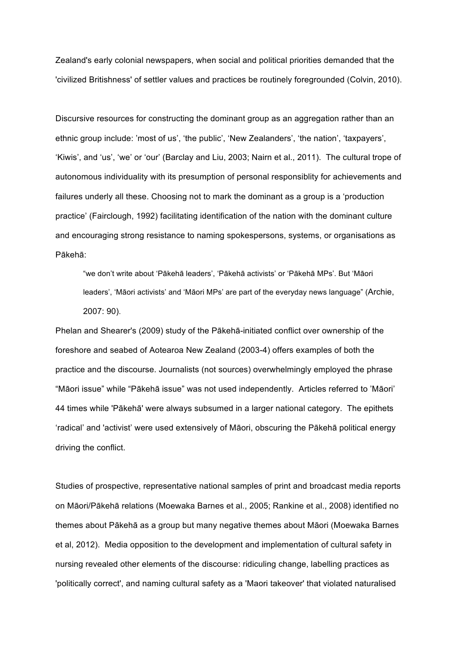Zealand's early colonial newspapers, when social and political priorities demanded that the 'civilized Britishness' of settler values and practices be routinely foregrounded (Colvin, 2010).

Discursive resources for constructing the dominant group as an aggregation rather than an ethnic group include: 'most of us', 'the public', 'New Zealanders', 'the nation', 'taxpayers', 'Kiwis', and 'us', 'we' or 'our' (Barclay and Liu, 2003; Nairn et al., 2011). The cultural trope of autonomous individuality with its presumption of personal responsiblity for achievements and failures underly all these. Choosing not to mark the dominant as a group is a 'production practice' (Fairclough, 1992) facilitating identification of the nation with the dominant culture and encouraging strong resistance to naming spokespersons, systems, or organisations as Pākehā:

"we don't write about 'Pākehā leaders', 'Pākehā activists' or 'Pākehā MPs'. But 'Māori leaders', 'Māori activists' and 'Māori MPs' are part of the everyday news language" (Archie, 2007: 90).

Phelan and Shearer's (2009) study of the Pākehā-initiated conflict over ownership of the foreshore and seabed of Aotearoa New Zealand (2003-4) offers examples of both the practice and the discourse. Journalists (not sources) overwhelmingly employed the phrase "Māori issue" while "Pākehā issue" was not used independently. Articles referred to 'Māori' 44 times while 'Pākehā' were always subsumed in a larger national category. The epithets 'radical' and 'activist' were used extensively of Māori, obscuring the Pākehā political energy driving the conflict.

Studies of prospective, representative national samples of print and broadcast media reports on Māori/Pākehā relations (Moewaka Barnes et al., 2005; Rankine et al., 2008) identified no themes about Pākehā as a group but many negative themes about Māori (Moewaka Barnes et al, 2012). Media opposition to the development and implementation of cultural safety in nursing revealed other elements of the discourse: ridiculing change, labelling practices as 'politically correct', and naming cultural safety as a 'Maori takeover' that violated naturalised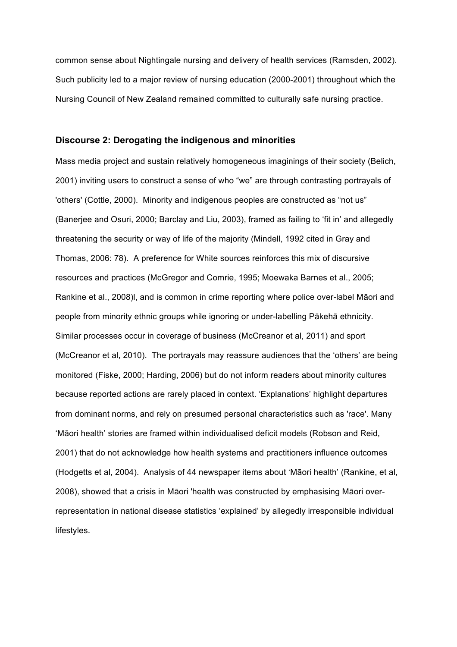common sense about Nightingale nursing and delivery of health services (Ramsden, 2002). Such publicity led to a major review of nursing education (2000-2001) throughout which the Nursing Council of New Zealand remained committed to culturally safe nursing practice.

#### **Discourse 2: Derogating the indigenous and minorities**

Mass media project and sustain relatively homogeneous imaginings of their society (Belich, 2001) inviting users to construct a sense of who "we" are through contrasting portrayals of 'others' (Cottle, 2000). Minority and indigenous peoples are constructed as "not us" (Banerjee and Osuri, 2000; Barclay and Liu, 2003), framed as failing to 'fit in' and allegedly threatening the security or way of life of the majority (Mindell, 1992 cited in Gray and Thomas, 2006: 78). A preference for White sources reinforces this mix of discursive resources and practices (McGregor and Comrie, 1995; Moewaka Barnes et al., 2005; Rankine et al., 2008)l, and is common in crime reporting where police over-label Māori and people from minority ethnic groups while ignoring or under-labelling Pākehā ethnicity. Similar processes occur in coverage of business (McCreanor et al, 2011) and sport (McCreanor et al, 2010). The portrayals may reassure audiences that the 'others' are being monitored (Fiske, 2000; Harding, 2006) but do not inform readers about minority cultures because reported actions are rarely placed in context. 'Explanations' highlight departures from dominant norms, and rely on presumed personal characteristics such as 'race'. Many 'Māori health' stories are framed within individualised deficit models (Robson and Reid, 2001) that do not acknowledge how health systems and practitioners influence outcomes (Hodgetts et al, 2004). Analysis of 44 newspaper items about 'Māori health' (Rankine, et al, 2008), showed that a crisis in Māori 'health was constructed by emphasising Māori overrepresentation in national disease statistics 'explained' by allegedly irresponsible individual lifestyles.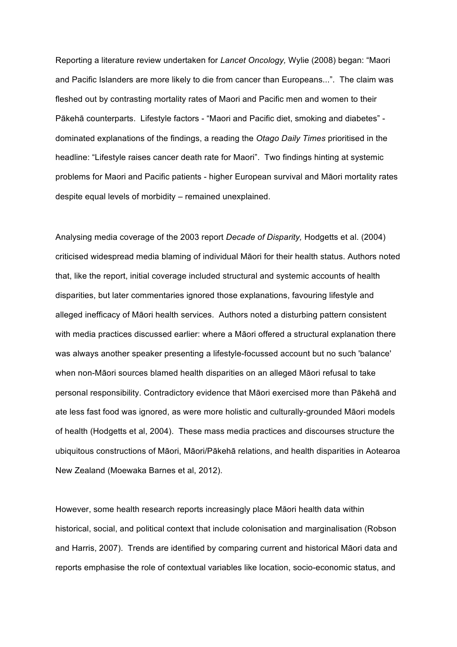Reporting a literature review undertaken for *Lancet Oncology,* Wylie (2008) began: "Maori and Pacific Islanders are more likely to die from cancer than Europeans...". The claim was fleshed out by contrasting mortality rates of Maori and Pacific men and women to their Pākehā counterparts. Lifestyle factors - "Maori and Pacific diet, smoking and diabetes" dominated explanations of the findings, a reading the *Otago Daily Times* prioritised in the headline: "Lifestyle raises cancer death rate for Maori". Two findings hinting at systemic problems for Maori and Pacific patients - higher European survival and Māori mortality rates despite equal levels of morbidity – remained unexplained.

Analysing media coverage of the 2003 report *Decade of Disparity,* Hodgetts et al. (2004) criticised widespread media blaming of individual Māori for their health status. Authors noted that, like the report, initial coverage included structural and systemic accounts of health disparities, but later commentaries ignored those explanations, favouring lifestyle and alleged inefficacy of Māori health services. Authors noted a disturbing pattern consistent with media practices discussed earlier: where a Māori offered a structural explanation there was always another speaker presenting a lifestyle-focussed account but no such 'balance' when non-Māori sources blamed health disparities on an alleged Māori refusal to take personal responsibility. Contradictory evidence that Māori exercised more than Pākehā and ate less fast food was ignored, as were more holistic and culturally-grounded Māori models of health (Hodgetts et al, 2004). These mass media practices and discourses structure the ubiquitous constructions of Māori, Māori/Pākehā relations, and health disparities in Aotearoa New Zealand (Moewaka Barnes et al, 2012).

However, some health research reports increasingly place Māori health data within historical, social, and political context that include colonisation and marginalisation (Robson and Harris, 2007). Trends are identified by comparing current and historical Māori data and reports emphasise the role of contextual variables like location, socio-economic status, and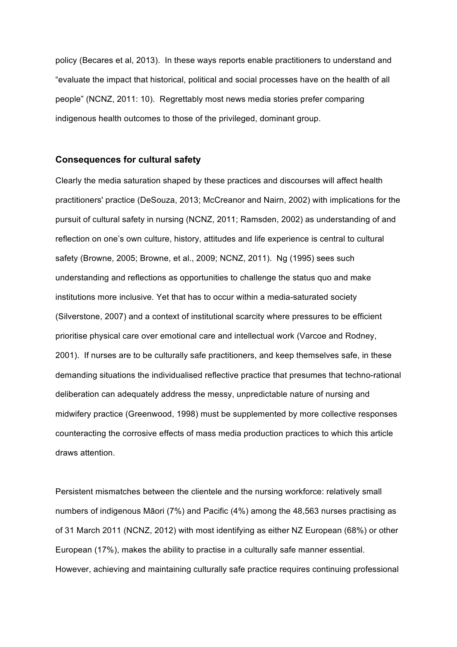policy (Becares et al, 2013). In these ways reports enable practitioners to understand and "evaluate the impact that historical, political and social processes have on the health of all people" (NCNZ, 2011: 10). Regrettably most news media stories prefer comparing indigenous health outcomes to those of the privileged, dominant group.

#### **Consequences for cultural safety**

Clearly the media saturation shaped by these practices and discourses will affect health practitioners' practice (DeSouza, 2013; McCreanor and Nairn, 2002) with implications for the pursuit of cultural safety in nursing (NCNZ, 2011; Ramsden, 2002) as understanding of and reflection on one's own culture, history, attitudes and life experience is central to cultural safety (Browne, 2005; Browne, et al., 2009; NCNZ, 2011). Ng (1995) sees such understanding and reflections as opportunities to challenge the status quo and make institutions more inclusive. Yet that has to occur within a media-saturated society (Silverstone, 2007) and a context of institutional scarcity where pressures to be efficient prioritise physical care over emotional care and intellectual work (Varcoe and Rodney, 2001). If nurses are to be culturally safe practitioners, and keep themselves safe, in these demanding situations the individualised reflective practice that presumes that techno-rational deliberation can adequately address the messy, unpredictable nature of nursing and midwifery practice (Greenwood, 1998) must be supplemented by more collective responses counteracting the corrosive effects of mass media production practices to which this article draws attention.

Persistent mismatches between the clientele and the nursing workforce: relatively small numbers of indigenous Māori (7%) and Pacific (4%) among the 48,563 nurses practising as of 31 March 2011 (NCNZ, 2012) with most identifying as either NZ European (68%) or other European (17%), makes the ability to practise in a culturally safe manner essential. However, achieving and maintaining culturally safe practice requires continuing professional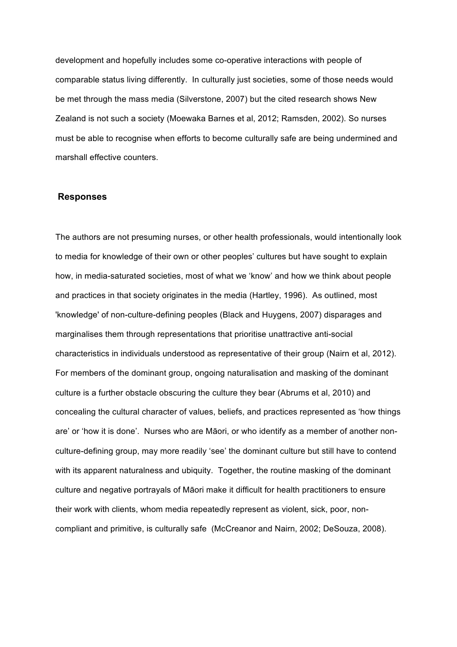development and hopefully includes some co-operative interactions with people of comparable status living differently. In culturally just societies, some of those needs would be met through the mass media (Silverstone, 2007) but the cited research shows New Zealand is not such a society (Moewaka Barnes et al, 2012; Ramsden, 2002). So nurses must be able to recognise when efforts to become culturally safe are being undermined and marshall effective counters.

#### **Responses**

The authors are not presuming nurses, or other health professionals, would intentionally look to media for knowledge of their own or other peoples' cultures but have sought to explain how, in media-saturated societies, most of what we 'know' and how we think about people and practices in that society originates in the media (Hartley, 1996). As outlined, most 'knowledge' of non-culture-defining peoples (Black and Huygens, 2007) disparages and marginalises them through representations that prioritise unattractive anti-social characteristics in individuals understood as representative of their group (Nairn et al, 2012). For members of the dominant group, ongoing naturalisation and masking of the dominant culture is a further obstacle obscuring the culture they bear (Abrums et al, 2010) and concealing the cultural character of values, beliefs, and practices represented as 'how things are' or 'how it is done'. Nurses who are Māori, or who identify as a member of another nonculture-defining group, may more readily 'see' the dominant culture but still have to contend with its apparent naturalness and ubiquity. Together, the routine masking of the dominant culture and negative portrayals of Māori make it difficult for health practitioners to ensure their work with clients, whom media repeatedly represent as violent, sick, poor, noncompliant and primitive, is culturally safe (McCreanor and Nairn, 2002; DeSouza, 2008).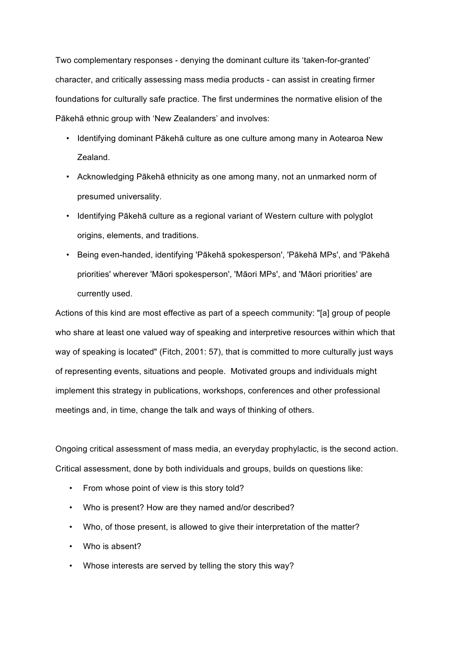Two complementary responses - denying the dominant culture its 'taken-for-granted' character, and critically assessing mass media products - can assist in creating firmer foundations for culturally safe practice. The first undermines the normative elision of the Pākehā ethnic group with 'New Zealanders' and involves:

- Identifying dominant Pākehā culture as one culture among many in Aotearoa New Zealand.
- Acknowledging Pākehā ethnicity as one among many, not an unmarked norm of presumed universality.
- Identifying Pākehā culture as a regional variant of Western culture with polyglot origins, elements, and traditions.
- Being even-handed, identifying 'Pākehā spokesperson', 'Pākehā MPs', and 'Pākehā priorities' wherever 'Māori spokesperson', 'Māori MPs', and 'Māori priorities' are currently used.

Actions of this kind are most effective as part of a speech community: "[a] group of people who share at least one valued way of speaking and interpretive resources within which that way of speaking is located" (Fitch, 2001: 57), that is committed to more culturally just ways of representing events, situations and people. Motivated groups and individuals might implement this strategy in publications, workshops, conferences and other professional meetings and, in time, change the talk and ways of thinking of others.

Ongoing critical assessment of mass media, an everyday prophylactic, is the second action. Critical assessment, done by both individuals and groups, builds on questions like:

- From whose point of view is this story told?
- Who is present? How are they named and/or described?
- Who, of those present, is allowed to give their interpretation of the matter?
- Who is absent?
- Whose interests are served by telling the story this way?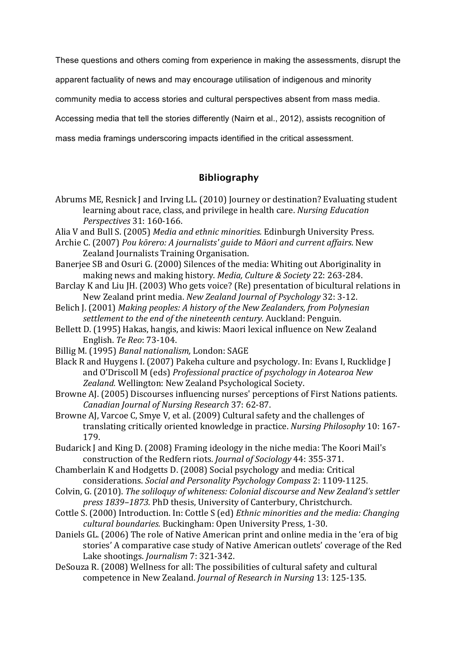These questions and others coming from experience in making the assessments, disrupt the

apparent factuality of news and may encourage utilisation of indigenous and minority

community media to access stories and cultural perspectives absent from mass media.

Accessing media that tell the stories differently (Nairn et al., 2012), assists recognition of

mass media framings underscoring impacts identified in the critical assessment.

## **Bibliography**

- Abrums ME, Resnick J and Irving LL. (2010) Journey or destination? Evaluating student learning about race, class, and privilege in health care. *Nursing Education Perspectives* 31: 160‐166.
- Alia V and Bull S. (2005) *Media and ethnic minorities.* Edinburgh University Press.
- Archie C. (2007) *Pou kōrero: A journalists' guide to Māori and current affairs*. New Zealand Journalists Training Organisation.
- Banerjee SB and Osuri G. (2000) Silences of the media: Whiting out Aboriginality in making news and making history. *Media, Culture & Society* 22: 263‐284.
- Barclay K and Liu JH. (2003) Who gets voice? (Re) presentation of bicultural relations in New Zealand print media. *New Zealand Journal of Psychology* 32: 3‐12.
- Belich J. (2001) *Making peoples: A history of the New Zealanders, from Polynesian settlement to the end of the nineteenth century.* Auckland: Penguin.
- Bellett D. (1995) Hakas, hangis, and kiwis: Maori lexical influence on New Zealand English. *Te Reo*: 73‐104.
- Billig M. (1995) *Banal nationalism,* London: SAGE

Black R and Huygens I. (2007) Pakeha culture and psychology. In: Evans I, Rucklidge J and O'Driscoll M (eds) *Professional practice of psychology in Aotearoa New Zealand.* Wellington: New Zealand Psychological Society.

- Browne AJ. (2005) Discourses influencing nurses' perceptions of First Nations patients. *Canadian Journal of Nursing Research* 37: 62‐87.
- Browne AJ, Varcoe C, Smye V, et al. (2009) Cultural safety and the challenges of translating critically oriented knowledge in practice. *Nursing Philosophy* 10: 167‐ 179.
- Budarick J and King D. (2008) Framing ideology in the niche media: The Koori Mail's construction of the Redfern riots. *Journal of Sociology* 44: 355‐371.
- Chamberlain K and Hodgetts D. (2008) Social psychology and media: Critical considerations. *Social and Personality Psychology Compass* 2: 1109‐1125.
- Colvin, G. (2010). *The soliloquy of whiteness: Colonial discourse and New Zealand's settler press 1839–1873.* PhD thesis, University of Canterbury, Christchurch.
- Cottle S. (2000) Introduction. In: Cottle S (ed) *Ethnic minorities and the media: Changing cultural boundaries.* Buckingham: Open University Press, 1‐30.
- Daniels GL. (2006) The role of Native American print and online media in the 'era of big stories' A comparative case study of Native American outlets' coverage of the Red Lake shootings. *Journalism* 7: 321‐342.
- DeSouza R. (2008) Wellness for all: The possibilities of cultural safety and cultural competence in New Zealand. *Journal of Research in Nursing* 13: 125‐135.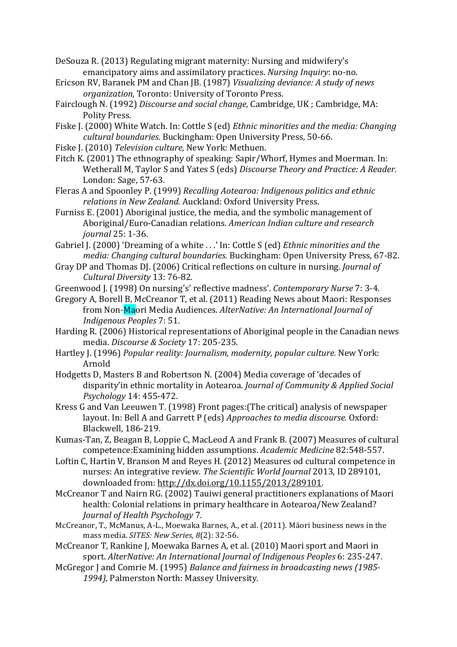DeSouza R. (2013) Regulating migrant maternity: Nursing and midwifery's emancipatory aims and assimilatory practices. *Nursing Inquiry*: no‐no.

- Ericson RV, Baranek PM and Chan JB. (1987) *Visualizing deviance: A study of news organization,* Toronto: University of Toronto Press.
- Fairclough N. (1992) *Discourse and social change,* Cambridge, UK ; Cambridge, MA: Polity Press.
- Fiske J. (2000) White Watch. In: Cottle S (ed) *Ethnic minorities and the media: Changing cultural boundaries.* Buckingham: Open University Press, 50‐66.
- Fiske J. (2010) *Television culture,* New York: Methuen.
- Fitch K. (2001) The ethnography of speaking: Sapir/Whorf, Hymes and Moerman. In: Wetherall M, Taylor S and Yates S (eds) *Discourse Theory and Practice: A Reader.* London: Sage, 57‐63.
- Fleras A and Spoonley P. (1999) *Recalling Aotearoa: Indigenous politics and ethnic relations in New Zealand.* Auckland: Oxford University Press.
- Furniss E. (2001) Aboriginal justice, the media, and the symbolic management of Aboriginal/Euro‐Canadian relations. *American Indian culture and research journal* 25: 1‐36.
- Gabriel J. (2000) 'Dreaming of a white . . .' In: Cottle S (ed) *Ethnic minorities and the media: Changing cultural boundaries.* Buckingham: Open University Press, 67‐82.
- Gray DP and Thomas DJ. (2006) Critical reflections on culture in nursing. *Journal of Cultural Diversity* 13: 76‐82.
- Greenwood J. (1998) On nursing's' reflective madness'. *Contemporary Nurse* 7: 3‐4.
- Gregory A, Borell B, McCreanor T, et al. (2011) Reading News about Maori: Responses from Non‐Maori Media Audiences. *AlterNative: An International Journal of Indigenous Peoples* 7: 51.
- Harding R. (2006) Historical representations of Aboriginal people in the Canadian news media. *Discourse & Society* 17: 205‐235.
- Hartley J. (1996) *Popular reality: Journalism, modernity, popular culture.* New York: Arnold
- Hodgetts D, Masters B and Robertson N. (2004) Media coverage of 'decades of disparity'in ethnic mortality in Aotearoa. *Journal of Community & Applied Social Psychology* 14: 455‐472.
- Kress G and Van Leeuwen T. (1998) Front pages:(The critical) analysis of newspaper layout. In: Bell A and Garrett P (eds) *Approaches to media discourse.* Oxford: Blackwell, 186‐219.
- Kumas‐Tan, Z, Beagan B, Loppie C, MacLeod A and Frank B. (2007) Measures of cultural competence:Examining hidden assumptions. *Academic Medicine* 82:548‐557.
- Loftin C, Hartin V, Branson M and Reyes H. (2012) Measures od cultural competence in nurses: An integrative review. *The Scientific World Journal* 2013, ID 289101, downloaded from: http://dx.doi.org/10.1155/2013/289101.
- McCreanor T and Nairn RG. (2002) Tauiwi general practitioners explanations of Maori health: Colonial relations in primary healthcare in Aotearoa/New Zealand? *Journal of Health Psychology* 7.
- McCreanor, T., McManus, A‐L., Moewaka Barnes, A., et al. (2011). Māori business news in the mass media. *SITES: New Series, 8*(2): 32‐56.
- McCreanor T, Rankine J, Moewaka Barnes A, et al. (2010) Maori sport and Maori in sport. *AlterNative: An International Journal of Indigenous Peoples* 6: 235‐247.
- McGregor J and Comrie M. (1995) *Balance and fairness in broadcasting news (1985‐ 1994),* Palmerston North: Massey University.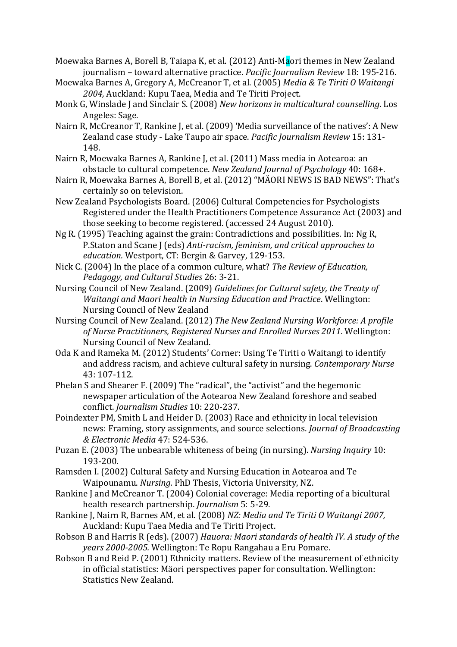- Moewaka Barnes A, Borell B, Taiapa K, et al. (2012) Anti-Maori themes in New Zealand journalism – toward alternative practice. *Pacific Journalism Review* 18: 195‐216.
- Moewaka Barnes A, Gregory A, McCreanor T, et al. (2005) *Media & Te Tiriti O Waitangi 2004,* Auckland: Kupu Taea, Media and Te Tiriti Project.
- Monk G, Winslade J and Sinclair S. (2008) *New horizons in multicultural counselling*. Los Angeles: Sage.
- Nairn R, McCreanor T, Rankine J, et al. (2009) 'Media surveillance of the natives': A New Zealand case study ‐ Lake Taupo air space. *Pacific Journalism Review* 15: 131‐ 148.
- Nairn R, Moewaka Barnes A, Rankine J, et al. (2011) Mass media in Aotearoa: an obstacle to cultural competence. *New Zealand Journal of Psychology* 40: 168+.
- Nairn R, Moewaka Barnes A, Borell B, et al. (2012) "MÄORI NEWS IS BAD NEWS": That's certainly so on television.
- New Zealand Psychologists Board. (2006) Cultural Competencies for Psychologists Registered under the Health Practitioners Competence Assurance Act (2003) and those seeking to become registered. (accessed 24 August 2010).
- Ng R. (1995) Teaching against the grain: Contradictions and possibilities. In: Ng R, P.Staton and Scane J (eds) *Anti‐racism, feminism, and critical approaches to education.* Westport, CT: Bergin & Garvey, 129‐153.
- Nick C. (2004) In the place of a common culture, what? *The Review of Education, Pedagogy, and Cultural Studies* 26: 3‐21.
- Nursing Council of New Zealand. (2009) *Guidelines for Cultural safety, the Treaty of Waitangi and Maori health in Nursing Education and Practice*. Wellington: Nursing Council of New Zealand
- Nursing Council of New Zealand. (2012) *The New Zealand Nursing Workforce: A profile of Nurse Practitioners, Registered Nurses and Enrolled Nurses 2011*. Wellington: Nursing Council of New Zealand.
- Oda K and Rameka M. (2012) Students' Corner: Using Te Tiriti o Waitangi to identify and address racism, and achieve cultural safety in nursing. *Contemporary Nurse* 43: 107‐112.
- Phelan S and Shearer F. (2009) The "radical", the "activist" and the hegemonic newspaper articulation of the Aotearoa New Zealand foreshore and seabed conflict. *Journalism Studies* 10: 220‐237.
- Poindexter PM, Smith L and Heider D. (2003) Race and ethnicity in local television news: Framing, story assignments, and source selections. *Journal of Broadcasting & Electronic Media* 47: 524‐536.
- Puzan E. (2003) The unbearable whiteness of being (in nursing). *Nursing Inquiry* 10: 193‐200.
- Ramsden I. (2002) Cultural Safety and Nursing Education in Aotearoa and Te Waipounamu. *Nursing.* PhD Thesis, Victoria University, NZ.
- Rankine J and McCreanor T. (2004) Colonial coverage: Media reporting of a bicultural health research partnership. *Journalism* 5: 5‐29.
- Rankine J, Nairn R, Barnes AM, et al. (2008) *NZ: Media and Te Tiriti O Waitangi 2007,*  Auckland: Kupu Taea Media and Te Tiriti Project.
- Robson B and Harris R (eds). (2007) *Hauora: Maori standards of health IV. A study of the years 2000‐2005.* Wellington: Te Ropu Rangahau a Eru Pomare.
- Robson B and Reid P. (2001) Ethnicity matters. Review of the measurement of ethnicity in official statistics: Mäori perspectives paper for consultation. Wellington: Statistics New Zealand.